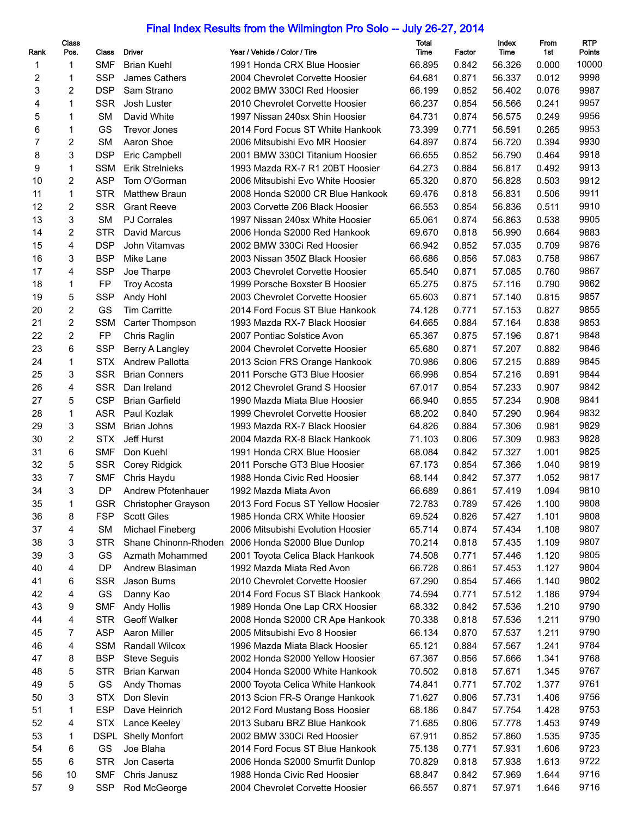## Final Index Results from the Wilmington Pro Solo -- July 26-27, 2014

| Rank     | Class<br>Pos.  | Class                   | <b>Driver</b>              | Year / Vehicle / Color / Tire     | Total<br>Time | Factor | Index<br>Time | From<br>1st | <b>RTP</b><br>Points |
|----------|----------------|-------------------------|----------------------------|-----------------------------------|---------------|--------|---------------|-------------|----------------------|
| 1        | 1              | <b>SMF</b>              | <b>Brian Kuehl</b>         | 1991 Honda CRX Blue Hoosier       | 66.895        | 0.842  | 56.326        | 0.000       | 10000                |
| 2        | 1              | <b>SSP</b>              | James Cathers              | 2004 Chevrolet Corvette Hoosier   | 64.681        | 0.871  | 56.337        | 0.012       | 9998                 |
| 3        | 2              | <b>DSP</b>              | Sam Strano                 | 2002 BMW 330Cl Red Hoosier        | 66.199        | 0.852  | 56.402        | 0.076       | 9987                 |
| 4        | $\mathbf{1}$   | <b>SSR</b>              | Josh Luster                | 2010 Chevrolet Corvette Hoosier   | 66.237        | 0.854  | 56.566        | 0.241       | 9957                 |
| 5        | 1              | <b>SM</b>               | David White                | 1997 Nissan 240sx Shin Hoosier    | 64.731        | 0.874  | 56.575        | 0.249       | 9956                 |
| 6        | $\mathbf{1}$   | GS                      | <b>Trevor Jones</b>        | 2014 Ford Focus ST White Hankook  | 73.399        | 0.771  | 56.591        | 0.265       | 9953                 |
| 7        | $\overline{c}$ | <b>SM</b>               | Aaron Shoe                 | 2006 Mitsubishi Evo MR Hoosier    | 64.897        | 0.874  | 56.720        | 0.394       | 9930                 |
| 8        | 3              | <b>DSP</b>              | Eric Campbell              | 2001 BMW 330Cl Titanium Hoosier   | 66.655        | 0.852  | 56.790        | 0.464       | 9918                 |
| 9        | $\mathbf{1}$   | <b>SSM</b>              | <b>Erik Strelnieks</b>     | 1993 Mazda RX-7 R1 20BT Hoosier   | 64.273        | 0.884  | 56.817        | 0.492       | 9913                 |
| 10       | $\overline{2}$ | <b>ASP</b>              | Tom O'Gorman               | 2006 Mitsubishi Evo White Hoosier | 65.320        | 0.870  | 56.828        | 0.503       | 9912                 |
| 11       | $\mathbf{1}$   | <b>STR</b>              | <b>Matthew Braun</b>       | 2008 Honda S2000 CR Blue Hankook  | 69.476        | 0.818  | 56.831        | 0.506       | 9911                 |
| 12       | $\overline{2}$ | SSR                     | <b>Grant Reeve</b>         | 2003 Corvette Z06 Black Hoosier   | 66.553        | 0.854  | 56.836        | 0.511       | 9910                 |
| 13       | 3              | <b>SM</b>               | <b>PJ Corrales</b>         | 1997 Nissan 240sx White Hoosier   | 65.061        | 0.874  | 56.863        | 0.538       | 9905                 |
| 14       | $\overline{c}$ | <b>STR</b>              | David Marcus               | 2006 Honda S2000 Red Hankook      | 69.670        | 0.818  | 56.990        | 0.664       | 9883                 |
| 15       | 4              | <b>DSP</b>              | John Vitamvas              | 2002 BMW 330Ci Red Hoosier        | 66.942        | 0.852  | 57.035        | 0.709       | 9876                 |
| 16       | 3              | <b>BSP</b>              | Mike Lane                  | 2003 Nissan 350Z Black Hoosier    | 66.686        | 0.856  | 57.083        | 0.758       | 9867                 |
| 17       | 4              | <b>SSP</b>              | Joe Tharpe                 | 2003 Chevrolet Corvette Hoosier   | 65.540        | 0.871  | 57.085        | 0.760       | 9867                 |
| 18       | $\mathbf{1}$   | <b>FP</b>               | <b>Troy Acosta</b>         | 1999 Porsche Boxster B Hoosier    | 65.275        | 0.875  | 57.116        | 0.790       | 9862                 |
| 19       | 5              | <b>SSP</b>              | Andy Hohl                  | 2003 Chevrolet Corvette Hoosier   | 65.603        | 0.871  | 57.140        | 0.815       | 9857                 |
| 20       | $\overline{c}$ | GS                      | <b>Tim Carritte</b>        | 2014 Ford Focus ST Blue Hankook   | 74.128        | 0.771  | 57.153        | 0.827       | 9855                 |
| 21       | $\overline{c}$ |                         |                            |                                   |               |        |               |             | 9853                 |
|          | $\overline{2}$ | <b>SSM</b><br><b>FP</b> | Carter Thompson            | 1993 Mazda RX-7 Black Hoosier     | 64.665        | 0.884  | 57.164        | 0.838       | 9848                 |
| 22<br>23 | 6              | <b>SSP</b>              | Chris Raglin               | 2007 Pontiac Solstice Avon        | 65.367        | 0.875  | 57.196        | 0.871       | 9846                 |
|          |                |                         | Berry A Langley            | 2004 Chevrolet Corvette Hoosier   | 65.680        | 0.871  | 57.207        | 0.882       | 9845                 |
| 24       | $\mathbf{1}$   | <b>STX</b>              | <b>Andrew Pallotta</b>     | 2013 Scion FRS Orange Hankook     | 70.986        | 0.806  | 57.215        | 0.889       |                      |
| 25       | 3              | <b>SSR</b>              | <b>Brian Conners</b>       | 2011 Porsche GT3 Blue Hoosier     | 66.998        | 0.854  | 57.216        | 0.891       | 9844                 |
| 26       | 4              | <b>SSR</b>              | Dan Ireland                | 2012 Chevrolet Grand S Hoosier    | 67.017        | 0.854  | 57.233        | 0.907       | 9842                 |
| 27       | 5              | <b>CSP</b>              | <b>Brian Garfield</b>      | 1990 Mazda Miata Blue Hoosier     | 66.940        | 0.855  | 57.234        | 0.908       | 9841                 |
| 28       | $\mathbf{1}$   | <b>ASR</b>              | Paul Kozlak                | 1999 Chevrolet Corvette Hoosier   | 68.202        | 0.840  | 57.290        | 0.964       | 9832                 |
| 29       | 3              | <b>SSM</b>              | <b>Brian Johns</b>         | 1993 Mazda RX-7 Black Hoosier     | 64.826        | 0.884  | 57.306        | 0.981       | 9829                 |
| 30       | $\overline{c}$ | <b>STX</b>              | Jeff Hurst                 | 2004 Mazda RX-8 Black Hankook     | 71.103        | 0.806  | 57.309        | 0.983       | 9828                 |
| 31       | 6              | <b>SMF</b>              | Don Kuehl                  | 1991 Honda CRX Blue Hoosier       | 68.084        | 0.842  | 57.327        | 1.001       | 9825                 |
| 32       | 5              | <b>SSR</b>              | Corey Ridgick              | 2011 Porsche GT3 Blue Hoosier     | 67.173        | 0.854  | 57.366        | 1.040       | 9819                 |
| 33       | 7              | <b>SMF</b>              | Chris Haydu                | 1988 Honda Civic Red Hoosier      | 68.144        | 0.842  | 57.377        | 1.052       | 9817                 |
| 34       | 3              | <b>DP</b>               | Andrew Pfotenhauer         | 1992 Mazda Miata Avon             | 66.689        | 0.861  | 57.419        | 1.094       | 9810                 |
| 35       | 1              | <b>GSR</b>              | Christopher Grayson        | 2013 Ford Focus ST Yellow Hoosier | 72.783        | 0.789  | 57.426        | 1.100       | 9808                 |
| 36       | 8              | <b>FSP</b>              | <b>Scott Giles</b>         | 1985 Honda CRX White Hoosier      | 69.524        | 0.826  | 57.427        | 1.101       | 9808                 |
| 37       | 4              | <b>SM</b>               | Michael Fineberg           | 2006 Mitsubishi Evolution Hoosier | 65.714        | 0.874  | 57.434        | 1.108       | 9807                 |
| 38       | 3              | <b>STR</b>              | Shane Chinonn-Rhoden       | 2006 Honda S2000 Blue Dunlop      | 70.214        | 0.818  | 57.435        | 1.109       | 9807                 |
| 39       | 3              | GS                      | Azmath Mohammed            | 2001 Toyota Celica Black Hankook  | 74.508        | 0.771  | 57.446        | 1.120       | 9805                 |
| 40       | 4              | DP                      | Andrew Blasiman            | 1992 Mazda Miata Red Avon         | 66.728        | 0.861  | 57.453        | 1.127       | 9804                 |
| 41       | 6              | <b>SSR</b>              | Jason Burns                | 2010 Chevrolet Corvette Hoosier   | 67.290        | 0.854  | 57.466        | 1.140       | 9802                 |
| 42       | 4              | GS                      | Danny Kao                  | 2014 Ford Focus ST Black Hankook  | 74.594        | 0.771  | 57.512        | 1.186       | 9794                 |
| 43       | 9              | <b>SMF</b>              | <b>Andy Hollis</b>         | 1989 Honda One Lap CRX Hoosier    | 68.332        | 0.842  | 57.536        | 1.210       | 9790                 |
| 44       | 4              | <b>STR</b>              | Geoff Walker               | 2008 Honda S2000 CR Ape Hankook   | 70.338        | 0.818  | 57.536        | 1.211       | 9790                 |
| 45       | 7              | <b>ASP</b>              | Aaron Miller               | 2005 Mitsubishi Evo 8 Hoosier     | 66.134        | 0.870  | 57.537        | 1.211       | 9790                 |
| 46       | 4              | <b>SSM</b>              | Randall Wilcox             | 1996 Mazda Miata Black Hoosier    | 65.121        | 0.884  | 57.567        | 1.241       | 9784                 |
| 47       | 8              | <b>BSP</b>              | <b>Steve Seguis</b>        | 2002 Honda S2000 Yellow Hoosier   | 67.367        | 0.856  | 57.666        | 1.341       | 9768                 |
| 48       | 5              | <b>STR</b>              | Brian Karwan               | 2004 Honda S2000 White Hankook    | 70.502        | 0.818  | 57.671        | 1.345       | 9767                 |
| 49       | 5              | GS                      | Andy Thomas                | 2000 Toyota Celica White Hankook  | 74.841        | 0.771  | 57.702        | 1.377       | 9761                 |
| 50       | 3              | <b>STX</b>              | Don Slevin                 | 2013 Scion FR-S Orange Hankook    | 71.627        | 0.806  | 57.731        | 1.406       | 9756                 |
| 51       | 1              | <b>ESP</b>              | Dave Heinrich              | 2012 Ford Mustang Boss Hoosier    | 68.186        | 0.847  | 57.754        | 1.428       | 9753                 |
| 52       | 4              | <b>STX</b>              | Lance Keeley               | 2013 Subaru BRZ Blue Hankook      | 71.685        | 0.806  | 57.778        | 1.453       | 9749                 |
| 53       | 1              |                         | <b>DSPL Shelly Monfort</b> | 2002 BMW 330Ci Red Hoosier        | 67.911        | 0.852  | 57.860        | 1.535       | 9735                 |
| 54       | 6              | GS                      | Joe Blaha                  | 2014 Ford Focus ST Blue Hankook   | 75.138        | 0.771  | 57.931        | 1.606       | 9723                 |
| 55       | 6              | <b>STR</b>              | Jon Caserta                | 2006 Honda S2000 Smurfit Dunlop   | 70.829        | 0.818  | 57.938        | 1.613       | 9722                 |
| 56       | 10             | <b>SMF</b>              | Chris Janusz               | 1988 Honda Civic Red Hoosier      | 68.847        | 0.842  | 57.969        | 1.644       | 9716                 |
| 57       | 9              | <b>SSP</b>              | Rod McGeorge               | 2004 Chevrolet Corvette Hoosier   | 66.557        | 0.871  | 57.971        | 1.646       | 9716                 |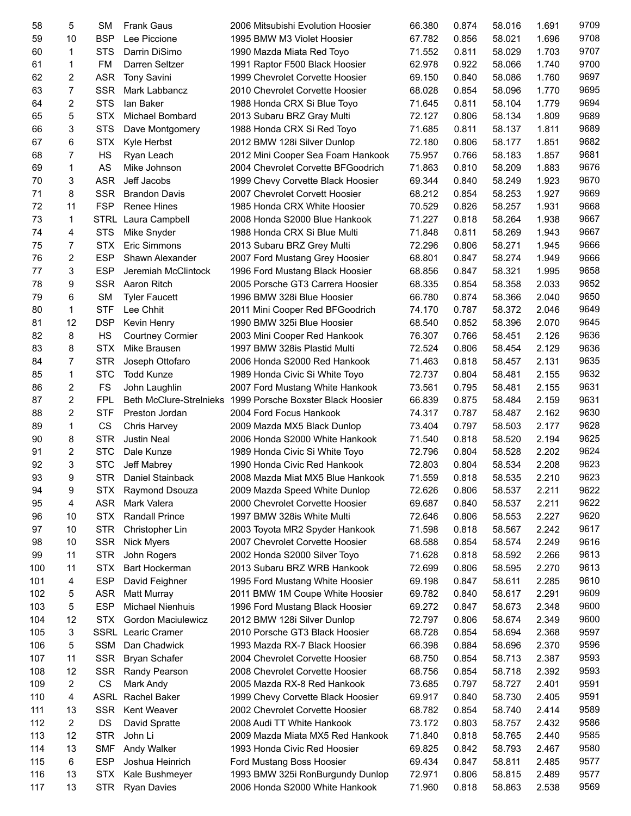| 58  | 5              | <b>SM</b>  | <b>Frank Gaus</b>              | 2006 Mitsubishi Evolution Hoosier  | 66.380 | 0.874 | 58.016 | 1.691 | 9709 |
|-----|----------------|------------|--------------------------------|------------------------------------|--------|-------|--------|-------|------|
| 59  | 10             | <b>BSP</b> | Lee Piccione                   | 1995 BMW M3 Violet Hoosier         | 67.782 | 0.856 | 58.021 | 1.696 | 9708 |
| 60  | 1              | <b>STS</b> | Darrin DiSimo                  | 1990 Mazda Miata Red Toyo          | 71.552 | 0.811 | 58.029 | 1.703 | 9707 |
| 61  | 1              | <b>FM</b>  | Darren Seltzer                 | 1991 Raptor F500 Black Hoosier     | 62.978 | 0.922 | 58.066 | 1.740 | 9700 |
| 62  | 2              | <b>ASR</b> | <b>Tony Savini</b>             | 1999 Chevrolet Corvette Hoosier    | 69.150 | 0.840 | 58.086 | 1.760 | 9697 |
| 63  | $\overline{7}$ | <b>SSR</b> | Mark Labbancz                  | 2010 Chevrolet Corvette Hoosier    | 68.028 | 0.854 | 58.096 | 1.770 | 9695 |
| 64  | $\overline{2}$ | <b>STS</b> | lan Baker                      | 1988 Honda CRX Si Blue Toyo        | 71.645 | 0.811 | 58.104 | 1.779 | 9694 |
| 65  | 5              | <b>STX</b> | Michael Bombard                | 2013 Subaru BRZ Gray Multi         | 72.127 | 0.806 | 58.134 | 1.809 | 9689 |
| 66  | 3              | <b>STS</b> | Dave Montgomery                | 1988 Honda CRX Si Red Toyo         | 71.685 | 0.811 | 58.137 | 1.811 | 9689 |
| 67  | 6              | <b>STX</b> | Kyle Herbst                    | 2012 BMW 128i Silver Dunlop        | 72.180 | 0.806 | 58.177 | 1.851 | 9682 |
| 68  | 7              | HS         | Ryan Leach                     |                                    | 75.957 | 0.766 | 58.183 | 1.857 | 9681 |
| 69  | 1              | AS         |                                | 2012 Mini Cooper Sea Foam Hankook  |        |       | 58.209 | 1.883 | 9676 |
|     |                |            | Mike Johnson                   | 2004 Chevrolet Corvette BFGoodrich | 71.863 | 0.810 |        |       |      |
| 70  | 3              | <b>ASR</b> | Jeff Jacobs                    | 1999 Chevy Corvette Black Hoosier  | 69.344 | 0.840 | 58.249 | 1.923 | 9670 |
| 71  | 8              | <b>SSR</b> | <b>Brandon Davis</b>           | 2007 Chevrolet Corvett Hoosier     | 68.212 | 0.854 | 58.253 | 1.927 | 9669 |
| 72  | 11             | <b>FSP</b> | <b>Renee Hines</b>             | 1985 Honda CRX White Hoosier       | 70.529 | 0.826 | 58.257 | 1.931 | 9668 |
| 73  | 1              | STRL       | Laura Campbell                 | 2008 Honda S2000 Blue Hankook      | 71.227 | 0.818 | 58.264 | 1.938 | 9667 |
| 74  | 4              | <b>STS</b> | Mike Snyder                    | 1988 Honda CRX Si Blue Multi       | 71.848 | 0.811 | 58.269 | 1.943 | 9667 |
| 75  | 7              | <b>STX</b> | Eric Simmons                   | 2013 Subaru BRZ Grey Multi         | 72.296 | 0.806 | 58.271 | 1.945 | 9666 |
| 76  | 2              | <b>ESP</b> | Shawn Alexander                | 2007 Ford Mustang Grey Hoosier     | 68.801 | 0.847 | 58.274 | 1.949 | 9666 |
| 77  | 3              | <b>ESP</b> | Jeremiah McClintock            | 1996 Ford Mustang Black Hoosier    | 68.856 | 0.847 | 58.321 | 1.995 | 9658 |
| 78  | 9              | <b>SSR</b> | Aaron Ritch                    | 2005 Porsche GT3 Carrera Hoosier   | 68.335 | 0.854 | 58.358 | 2.033 | 9652 |
| 79  | 6              | <b>SM</b>  | <b>Tyler Faucett</b>           | 1996 BMW 328i Blue Hoosier         | 66.780 | 0.874 | 58.366 | 2.040 | 9650 |
| 80  | $\mathbf{1}$   | <b>STF</b> | Lee Chhit                      | 2011 Mini Cooper Red BFGoodrich    | 74.170 | 0.787 | 58.372 | 2.046 | 9649 |
| 81  | 12             | <b>DSP</b> | Kevin Henry                    | 1990 BMW 325i Blue Hoosier         | 68.540 | 0.852 | 58.396 | 2.070 | 9645 |
| 82  | 8              | <b>HS</b>  | <b>Courtney Cormier</b>        | 2003 Mini Cooper Red Hankook       | 76.307 | 0.766 | 58.451 | 2.126 | 9636 |
| 83  | 8              | <b>STX</b> | Mike Brausen                   | 1997 BMW 328is Plastid Multi       | 72.524 | 0.806 | 58.454 | 2.129 | 9636 |
| 84  | 7              | <b>STR</b> | Joseph Ottofaro                | 2006 Honda S2000 Red Hankook       | 71.463 | 0.818 | 58.457 | 2.131 | 9635 |
| 85  | $\mathbf{1}$   | <b>STC</b> | <b>Todd Kunze</b>              | 1989 Honda Civic Si White Toyo     | 72.737 | 0.804 | 58.481 | 2.155 | 9632 |
| 86  | $\overline{2}$ | <b>FS</b>  | John Laughlin                  | 2007 Ford Mustang White Hankook    | 73.561 | 0.795 | 58.481 | 2.155 | 9631 |
| 87  | $\overline{2}$ | <b>FPL</b> | <b>Beth McClure-Strelnieks</b> | 1999 Porsche Boxster Black Hoosier | 66.839 | 0.875 | 58.484 | 2.159 | 9631 |
| 88  | $\overline{2}$ | <b>STF</b> | Preston Jordan                 | 2004 Ford Focus Hankook            | 74.317 | 0.787 | 58.487 | 2.162 | 9630 |
| 89  | $\mathbf{1}$   | CS         | Chris Harvey                   | 2009 Mazda MX5 Black Dunlop        | 73.404 | 0.797 | 58.503 | 2.177 | 9628 |
| 90  | 8              | <b>STR</b> | <b>Justin Neal</b>             | 2006 Honda S2000 White Hankook     | 71.540 | 0.818 | 58.520 | 2.194 | 9625 |
| 91  | $\overline{c}$ | <b>STC</b> | Dale Kunze                     | 1989 Honda Civic Si White Toyo     | 72.796 | 0.804 | 58.528 | 2.202 | 9624 |
| 92  | 3              | <b>STC</b> | Jeff Mabrey                    | 1990 Honda Civic Red Hankook       | 72.803 | 0.804 | 58.534 | 2.208 | 9623 |
| 93  | 9              | <b>STR</b> | Daniel Stainback               | 2008 Mazda Miat MX5 Blue Hankook   | 71.559 | 0.818 | 58.535 | 2.210 | 9623 |
| 94  | 9              | STX.       | Raymond Dsouza                 | 2009 Mazda Speed White Dunlop      | 72.626 | 0.806 | 58.537 | 2.211 | 9622 |
| 95  | 4              | <b>ASR</b> | Mark Valera                    | 2000 Chevrolet Corvette Hoosier    | 69.687 | 0.840 | 58.537 | 2.211 | 9622 |
|     |                | <b>STX</b> | Randall Prince                 |                                    |        |       |        | 2.227 | 9620 |
| 96  | 10             |            |                                | 1997 BMW 328is White Multi         | 72.646 | 0.806 | 58.553 |       | 9617 |
| 97  | 10             | <b>STR</b> | Christopher Lin                | 2003 Toyota MR2 Spyder Hankook     | 71.598 | 0.818 | 58.567 | 2.242 | 9616 |
| 98  | 10             | <b>SSR</b> | <b>Nick Myers</b>              | 2007 Chevrolet Corvette Hoosier    | 68.588 | 0.854 | 58.574 | 2.249 |      |
| 99  | 11             | <b>STR</b> | John Rogers                    | 2002 Honda S2000 Silver Toyo       | 71.628 | 0.818 | 58.592 | 2.266 | 9613 |
| 100 | 11             | <b>STX</b> | <b>Bart Hockerman</b>          | 2013 Subaru BRZ WRB Hankook        | 72.699 | 0.806 | 58.595 | 2.270 | 9613 |
| 101 | 4              | <b>ESP</b> | David Feighner                 | 1995 Ford Mustang White Hoosier    | 69.198 | 0.847 | 58.611 | 2.285 | 9610 |
| 102 | 5              | <b>ASR</b> | <b>Matt Murray</b>             | 2011 BMW 1M Coupe White Hoosier    | 69.782 | 0.840 | 58.617 | 2.291 | 9609 |
| 103 | 5              | <b>ESP</b> | <b>Michael Nienhuis</b>        | 1996 Ford Mustang Black Hoosier    | 69.272 | 0.847 | 58.673 | 2.348 | 9600 |
| 104 | 12             | <b>STX</b> | Gordon Maciulewicz             | 2012 BMW 128i Silver Dunlop        | 72.797 | 0.806 | 58.674 | 2.349 | 9600 |
| 105 | 3              | SSRL       | Learic Cramer                  | 2010 Porsche GT3 Black Hoosier     | 68.728 | 0.854 | 58.694 | 2.368 | 9597 |
| 106 | 5              | SSM        | Dan Chadwick                   | 1993 Mazda RX-7 Black Hoosier      | 66.398 | 0.884 | 58.696 | 2.370 | 9596 |
| 107 | 11             | <b>SSR</b> | Bryan Schafer                  | 2004 Chevrolet Corvette Hoosier    | 68.750 | 0.854 | 58.713 | 2.387 | 9593 |
| 108 | 12             | <b>SSR</b> | Randy Pearson                  | 2008 Chevrolet Corvette Hoosier    | 68.756 | 0.854 | 58.718 | 2.392 | 9593 |
| 109 | $\overline{2}$ | CS         | Mark Andy                      | 2005 Mazda RX-8 Red Hankook        | 73.685 | 0.797 | 58.727 | 2.401 | 9591 |
| 110 | 4              | ASRL       | Rachel Baker                   | 1999 Chevy Corvette Black Hoosier  | 69.917 | 0.840 | 58.730 | 2.405 | 9591 |
| 111 | 13             | SSR        | Kent Weaver                    | 2002 Chevrolet Corvette Hoosier    | 68.782 | 0.854 | 58.740 | 2.414 | 9589 |
| 112 | $\overline{2}$ | DS         | David Spratte                  | 2008 Audi TT White Hankook         | 73.172 | 0.803 | 58.757 | 2.432 | 9586 |
| 113 | 12             | <b>STR</b> | John Li                        | 2009 Mazda Miata MX5 Red Hankook   | 71.840 | 0.818 | 58.765 | 2.440 | 9585 |
| 114 | 13             | <b>SMF</b> | Andy Walker                    | 1993 Honda Civic Red Hoosier       | 69.825 | 0.842 | 58.793 | 2.467 | 9580 |
| 115 | 6              | <b>ESP</b> | Joshua Heinrich                | Ford Mustang Boss Hoosier          | 69.434 | 0.847 | 58.811 | 2.485 | 9577 |
| 116 | 13             | <b>STX</b> | Kale Bushmeyer                 | 1993 BMW 325i RonBurgundy Dunlop   | 72.971 | 0.806 | 58.815 | 2.489 | 9577 |
| 117 | 13             | <b>STR</b> | <b>Ryan Davies</b>             | 2006 Honda S2000 White Hankook     | 71.960 | 0.818 | 58.863 | 2.538 | 9569 |
|     |                |            |                                |                                    |        |       |        |       |      |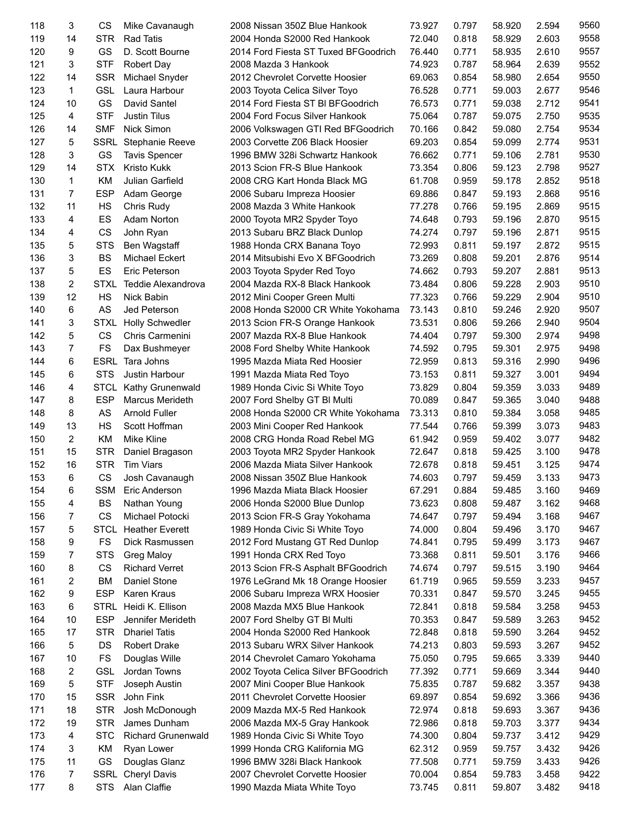| 118 | 3              | CS          | Mike Cavanaugh              | 2008 Nissan 350Z Blue Hankook        | 73.927 | 0.797 | 58.920 | 2.594 | 9560         |
|-----|----------------|-------------|-----------------------------|--------------------------------------|--------|-------|--------|-------|--------------|
| 119 | 14             | <b>STR</b>  | <b>Rad Tatis</b>            | 2004 Honda S2000 Red Hankook         | 72.040 | 0.818 | 58.929 | 2.603 | 9558         |
| 120 | 9              | GS          | D. Scott Bourne             | 2014 Ford Fiesta ST Tuxed BFGoodrich | 76.440 | 0.771 | 58.935 | 2.610 | 9557         |
| 121 | 3              | <b>STF</b>  | <b>Robert Day</b>           | 2008 Mazda 3 Hankook                 | 74.923 | 0.787 | 58.964 | 2.639 | 9552         |
| 122 | 14             | <b>SSR</b>  | Michael Snyder              | 2012 Chevrolet Corvette Hoosier      | 69.063 | 0.854 | 58.980 | 2.654 | 9550         |
| 123 | $\mathbf 1$    | <b>GSL</b>  | Laura Harbour               | 2003 Toyota Celica Silver Toyo       | 76.528 | 0.771 | 59.003 | 2.677 | 9546         |
| 124 | 10             | GS          | David Santel                | 2014 Ford Fiesta ST BI BFGoodrich    | 76.573 | 0.771 | 59.038 | 2.712 | 9541         |
| 125 | $\overline{4}$ | <b>STF</b>  | <b>Justin Tilus</b>         | 2004 Ford Focus Silver Hankook       | 75.064 | 0.787 | 59.075 | 2.750 | 9535         |
| 126 | 14             | <b>SMF</b>  | <b>Nick Simon</b>           | 2006 Volkswagen GTI Red BFGoodrich   | 70.166 | 0.842 | 59.080 | 2.754 | 9534         |
| 127 | 5              |             | <b>SSRL</b> Stephanie Reeve | 2003 Corvette Z06 Black Hoosier      | 69.203 | 0.854 | 59.099 | 2.774 | 9531         |
| 128 | 3              | GS          |                             | 1996 BMW 328i Schwartz Hankook       | 76.662 | 0.771 | 59.106 | 2.781 | 9530         |
|     | 14             | <b>STX</b>  | <b>Tavis Spencer</b>        |                                      |        |       |        |       | 9527         |
| 129 |                |             | <b>Kristo Kukk</b>          | 2013 Scion FR-S Blue Hankook         | 73.354 | 0.806 | 59.123 | 2.798 |              |
| 130 | $\mathbf{1}$   | KM          | Julian Garfield             | 2008 CRG Kart Honda Black MG         | 61.708 | 0.959 | 59.178 | 2.852 | 9518         |
| 131 | $\overline{7}$ | <b>ESP</b>  | Adam George                 | 2006 Subaru Impreza Hoosier          | 69.886 | 0.847 | 59.193 | 2.868 | 9516         |
| 132 | 11             | HS          | Chris Rudy                  | 2008 Mazda 3 White Hankook           | 77.278 | 0.766 | 59.195 | 2.869 | 9515         |
| 133 | 4              | ES          | Adam Norton                 | 2000 Toyota MR2 Spyder Toyo          | 74.648 | 0.793 | 59.196 | 2.870 | 9515         |
| 134 | 4              | CS          | John Ryan                   | 2013 Subaru BRZ Black Dunlop         | 74.274 | 0.797 | 59.196 | 2.871 | 9515         |
| 135 | 5              | <b>STS</b>  | Ben Wagstaff                | 1988 Honda CRX Banana Toyo           | 72.993 | 0.811 | 59.197 | 2.872 | 9515         |
| 136 | 3              | <b>BS</b>   | Michael Eckert              | 2014 Mitsubishi Evo X BFGoodrich     | 73.269 | 0.808 | 59.201 | 2.876 | 9514         |
| 137 | 5              | ES          | Eric Peterson               | 2003 Toyota Spyder Red Toyo          | 74.662 | 0.793 | 59.207 | 2.881 | 9513         |
| 138 | $\overline{2}$ | <b>STXL</b> | Teddie Alexandrova          | 2004 Mazda RX-8 Black Hankook        | 73.484 | 0.806 | 59.228 | 2.903 | 9510         |
| 139 | 12             | <b>HS</b>   | <b>Nick Babin</b>           | 2012 Mini Cooper Green Multi         | 77.323 | 0.766 | 59.229 | 2.904 | 9510         |
| 140 | 6              | AS          | Jed Peterson                | 2008 Honda S2000 CR White Yokohama   | 73.143 | 0.810 | 59.246 | 2.920 | 9507         |
| 141 | 3              | <b>STXL</b> | <b>Holly Schwedler</b>      | 2013 Scion FR-S Orange Hankook       | 73.531 | 0.806 | 59.266 | 2.940 | 9504         |
| 142 | 5              | <b>CS</b>   | Chris Carmenini             | 2007 Mazda RX-8 Blue Hankook         | 74.404 | 0.797 | 59.300 | 2.974 | 9498         |
| 143 | $\overline{7}$ | <b>FS</b>   | Dax Bushmeyer               | 2008 Ford Shelby White Hankook       | 74.592 | 0.795 | 59.301 | 2.975 | 9498         |
| 144 | 6              | <b>ESRL</b> | Tara Johns                  | 1995 Mazda Miata Red Hoosier         | 72.959 | 0.813 | 59.316 | 2.990 | 9496         |
| 145 | 6              | <b>STS</b>  | Justin Harbour              | 1991 Mazda Miata Red Toyo            | 73.153 | 0.811 | 59.327 | 3.001 | 9494         |
| 146 | 4              | <b>STCL</b> | Kathy Grunenwald            | 1989 Honda Civic Si White Toyo       | 73.829 | 0.804 | 59.359 | 3.033 | 9489         |
|     | 8              |             |                             |                                      |        |       |        |       | 9488         |
| 147 |                | <b>ESP</b>  | <b>Marcus Merideth</b>      | 2007 Ford Shelby GT BI Multi         | 70.089 | 0.847 | 59.365 | 3.040 |              |
| 148 | 8              | AS          | <b>Arnold Fuller</b>        | 2008 Honda S2000 CR White Yokohama   | 73.313 | 0.810 | 59.384 | 3.058 | 9485         |
| 149 | 13             | HS          | Scott Hoffman               | 2003 Mini Cooper Red Hankook         | 77.544 | 0.766 | 59.399 | 3.073 | 9483         |
| 150 | $\overline{2}$ | KM          | <b>Mike Kline</b>           | 2008 CRG Honda Road Rebel MG         | 61.942 | 0.959 | 59.402 | 3.077 | 9482         |
| 151 | 15             | <b>STR</b>  | Daniel Bragason             | 2003 Toyota MR2 Spyder Hankook       | 72.647 | 0.818 | 59.425 | 3.100 | 9478         |
| 152 | 16             | <b>STR</b>  | <b>Tim Viars</b>            | 2006 Mazda Miata Silver Hankook      | 72.678 | 0.818 | 59.451 | 3.125 | 9474         |
| 153 | 6              | <b>CS</b>   | Josh Cavanaugh              | 2008 Nissan 350Z Blue Hankook        | 74.603 | 0.797 | 59.459 | 3.133 | 9473         |
| 154 | 6              | SSM         | Eric Anderson               | 1996 Mazda Miata Black Hoosier       | 67.291 | 0.884 | 59.485 | 3.160 | 9469         |
| 155 | 4              | BS          | Nathan Young                | 2006 Honda S2000 Blue Dunlop         | 73.623 | 0.808 | 59.487 | 3.162 | 9468         |
| 156 | 7              | <b>CS</b>   | Michael Potocki             | 2013 Scion FR-S Gray Yokohama        | 74.647 | 0.797 | 59.494 | 3.168 | 9467         |
| 157 | 5              | <b>STCL</b> | <b>Heather Everett</b>      | 1989 Honda Civic Si White Toyo       | 74.000 | 0.804 | 59.496 | 3.170 | 9467         |
| 158 | 9              | FS          | Dick Rasmussen              | 2012 Ford Mustang GT Red Dunlop      | 74.841 | 0.795 | 59.499 | 3.173 | 9467         |
| 159 | 7              | <b>STS</b>  | <b>Greg Maloy</b>           | 1991 Honda CRX Red Toyo              | 73.368 | 0.811 | 59.501 | 3.176 | 9466         |
| 160 | 8              | CS          | <b>Richard Verret</b>       | 2013 Scion FR-S Asphalt BFGoodrich   | 74.674 | 0.797 | 59.515 | 3.190 | 9464         |
| 161 | 2              | <b>BM</b>   | Daniel Stone                | 1976 LeGrand Mk 18 Orange Hoosier    | 61.719 | 0.965 | 59.559 | 3.233 | 9457         |
| 162 | 9              | <b>ESP</b>  | Karen Kraus                 | 2006 Subaru Impreza WRX Hoosier      | 70.331 | 0.847 | 59.570 | 3.245 | 9455         |
| 163 | 6              | STRL        | Heidi K. Ellison            | 2008 Mazda MX5 Blue Hankook          | 72.841 | 0.818 | 59.584 | 3.258 | 9453         |
| 164 | 10             | <b>ESP</b>  | Jennifer Merideth           | 2007 Ford Shelby GT BI Multi         | 70.353 | 0.847 | 59.589 | 3.263 | 9452         |
| 165 | 17             | <b>STR</b>  | <b>Dhariel Tatis</b>        | 2004 Honda S2000 Red Hankook         | 72.848 | 0.818 | 59.590 | 3.264 | 9452         |
| 166 | 5              | DS          | <b>Robert Drake</b>         | 2013 Subaru WRX Silver Hankook       | 74.213 | 0.803 | 59.593 | 3.267 | 9452         |
|     |                |             |                             |                                      |        |       |        |       |              |
| 167 | 10             | FS          | Douglas Wille               | 2014 Chevrolet Camaro Yokohama       | 75.050 | 0.795 | 59.665 | 3.339 | 9440         |
| 168 | 2              | <b>GSL</b>  | Jordan Towns                | 2002 Toyota Celica Silver BFGoodrich | 77.392 | 0.771 | 59.669 | 3.344 | 9440         |
| 169 | 5              | <b>STF</b>  | Joseph Austin               | 2007 Mini Cooper Blue Hankook        | 75.835 | 0.787 | 59.682 | 3.357 | 9438         |
| 170 | 15             | <b>SSR</b>  | John Fink                   | 2011 Chevrolet Corvette Hoosier      | 69.897 | 0.854 | 59.692 | 3.366 | 9436         |
| 171 | 18             | <b>STR</b>  | Josh McDonough              | 2009 Mazda MX-5 Red Hankook          | 72.974 | 0.818 | 59.693 | 3.367 | 9436         |
| 172 | 19             | <b>STR</b>  | James Dunham                | 2006 Mazda MX-5 Gray Hankook         | 72.986 | 0.818 | 59.703 | 3.377 | 9434         |
| 173 | 4              | <b>STC</b>  | <b>Richard Grunenwald</b>   | 1989 Honda Civic Si White Toyo       | 74.300 | 0.804 | 59.737 | 3.412 | 9429         |
| 174 | 3              | KM          | Ryan Lower                  | 1999 Honda CRG Kalifornia MG         | 62.312 | 0.959 | 59.757 | 3.432 | 9426         |
|     |                |             |                             |                                      |        |       |        |       |              |
| 175 | 11             | GS          | Douglas Glanz               | 1996 BMW 328i Black Hankook          | 77.508 | 0.771 | 59.759 | 3.433 | 9426         |
| 176 | 7              | SSRL        | <b>Cheryl Davis</b>         | 2007 Chevrolet Corvette Hoosier      | 70.004 | 0.854 | 59.783 | 3.458 | 9422<br>9418 |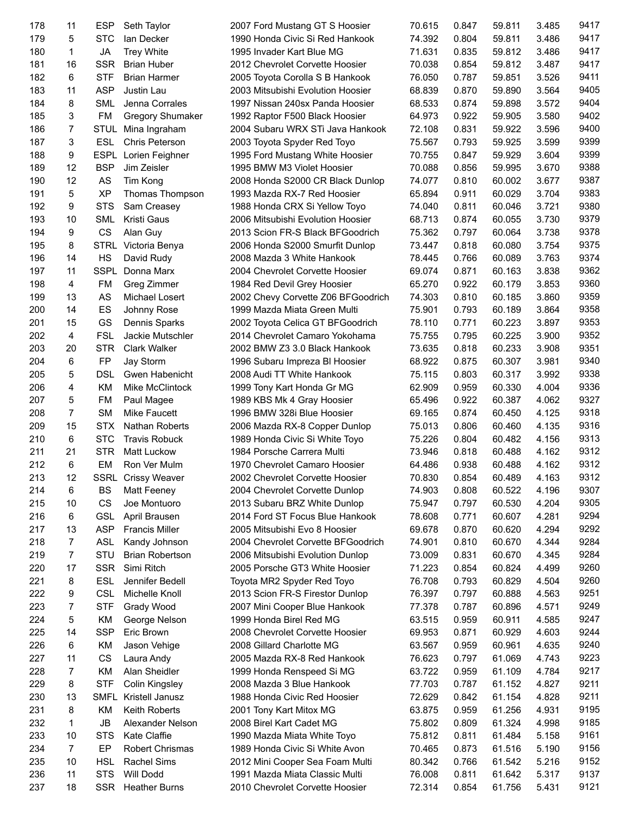| 178 | 11             | <b>ESP</b>  | Seth Taylor               | 2007 Ford Mustang GT S Hoosier     | 70.615 | 0.847 | 59.811 | 3.485 | 9417 |
|-----|----------------|-------------|---------------------------|------------------------------------|--------|-------|--------|-------|------|
| 179 | 5              | <b>STC</b>  | lan Decker                | 1990 Honda Civic Si Red Hankook    | 74.392 | 0.804 | 59.811 | 3.486 | 9417 |
| 180 | 1              | <b>JA</b>   | <b>Trey White</b>         | 1995 Invader Kart Blue MG          | 71.631 | 0.835 | 59.812 | 3.486 | 9417 |
| 181 | 16             | <b>SSR</b>  | <b>Brian Huber</b>        | 2012 Chevrolet Corvette Hoosier    | 70.038 | 0.854 | 59.812 | 3.487 | 9417 |
| 182 | 6              | <b>STF</b>  | <b>Brian Harmer</b>       | 2005 Toyota Corolla S B Hankook    | 76.050 | 0.787 | 59.851 | 3.526 | 9411 |
| 183 | 11             | <b>ASP</b>  | Justin Lau                | 2003 Mitsubishi Evolution Hoosier  | 68.839 | 0.870 | 59.890 | 3.564 | 9405 |
| 184 | 8              | <b>SML</b>  | Jenna Corrales            | 1997 Nissan 240sx Panda Hoosier    | 68.533 | 0.874 | 59.898 | 3.572 | 9404 |
| 185 | 3              | <b>FM</b>   | <b>Gregory Shumaker</b>   | 1992 Raptor F500 Black Hoosier     | 64.973 | 0.922 | 59.905 | 3.580 | 9402 |
| 186 | $\overline{7}$ |             | STUL Mina Ingraham        |                                    | 72.108 | 0.831 | 59.922 | 3.596 | 9400 |
|     | 3              |             |                           | 2004 Subaru WRX STi Java Hankook   |        |       |        |       | 9399 |
| 187 |                | ESL         | Chris Peterson            | 2003 Toyota Spyder Red Toyo        | 75.567 | 0.793 | 59.925 | 3.599 |      |
| 188 | 9              | <b>ESPL</b> | Lorien Feighner           | 1995 Ford Mustang White Hoosier    | 70.755 | 0.847 | 59.929 | 3.604 | 9399 |
| 189 | 12             | <b>BSP</b>  | Jim Zeisler               | 1995 BMW M3 Violet Hoosier         | 70.088 | 0.856 | 59.995 | 3.670 | 9388 |
| 190 | 12             | AS          | Tim Kong                  | 2008 Honda S2000 CR Black Dunlop   | 74.077 | 0.810 | 60.002 | 3.677 | 9387 |
| 191 | 5              | <b>XP</b>   | Thomas Thompson           | 1993 Mazda RX-7 Red Hoosier        | 65.894 | 0.911 | 60.029 | 3.704 | 9383 |
| 192 | 9              | <b>STS</b>  | Sam Creasey               | 1988 Honda CRX Si Yellow Toyo      | 74.040 | 0.811 | 60.046 | 3.721 | 9380 |
| 193 | 10             | <b>SML</b>  | Kristi Gaus               | 2006 Mitsubishi Evolution Hoosier  | 68.713 | 0.874 | 60.055 | 3.730 | 9379 |
| 194 | 9              | CS          | Alan Guy                  | 2013 Scion FR-S Black BFGoodrich   | 75.362 | 0.797 | 60.064 | 3.738 | 9378 |
| 195 | 8              | <b>STRL</b> | Victoria Benya            | 2006 Honda S2000 Smurfit Dunlop    | 73.447 | 0.818 | 60.080 | 3.754 | 9375 |
| 196 | 14             | HS          | David Rudy                | 2008 Mazda 3 White Hankook         | 78.445 | 0.766 | 60.089 | 3.763 | 9374 |
| 197 | 11             | SSPL        | Donna Marx                | 2004 Chevrolet Corvette Hoosier    | 69.074 | 0.871 | 60.163 | 3.838 | 9362 |
| 198 | 4              | <b>FM</b>   | Greg Zimmer               | 1984 Red Devil Grey Hoosier        | 65.270 | 0.922 | 60.179 | 3.853 | 9360 |
| 199 | 13             | AS          | Michael Losert            | 2002 Chevy Corvette Z06 BFGoodrich | 74.303 | 0.810 | 60.185 | 3.860 | 9359 |
| 200 | 14             | ES          | Johnny Rose               | 1999 Mazda Miata Green Multi       | 75.901 | 0.793 | 60.189 | 3.864 | 9358 |
| 201 | 15             | GS          | Dennis Sparks             | 2002 Toyota Celica GT BFGoodrich   | 78.110 | 0.771 | 60.223 | 3.897 | 9353 |
| 202 | 4              | <b>FSL</b>  | Jackie Mutschler          | 2014 Chevrolet Camaro Yokohama     | 75.755 | 0.795 | 60.225 | 3.900 | 9352 |
| 203 | 20             | <b>STR</b>  | <b>Clark Walker</b>       | 2002 BMW Z3 3.0 Black Hankook      | 73.635 | 0.818 | 60.233 | 3.908 | 9351 |
| 204 | 6              | FP          | Jay Storm                 | 1996 Subaru Impreza BI Hoosier     | 68.922 | 0.875 | 60.307 | 3.981 | 9340 |
| 205 | 5              | <b>DSL</b>  | Gwen Habenicht            | 2008 Audi TT White Hankook         | 75.115 | 0.803 | 60.317 | 3.992 | 9338 |
| 206 | 4              | KM          | Mike McClintock           | 1999 Tony Kart Honda Gr MG         | 62.909 | 0.959 | 60.330 | 4.004 | 9336 |
| 207 | 5              | FM          | Paul Magee                | 1989 KBS Mk 4 Gray Hoosier         | 65.496 | 0.922 | 60.387 | 4.062 | 9327 |
| 208 | $\overline{7}$ | <b>SM</b>   | Mike Faucett              | 1996 BMW 328i Blue Hoosier         | 69.165 | 0.874 | 60.450 | 4.125 | 9318 |
| 209 | 15             | <b>STX</b>  | <b>Nathan Roberts</b>     | 2006 Mazda RX-8 Copper Dunlop      |        | 0.806 |        | 4.135 | 9316 |
|     |                |             |                           |                                    | 75.013 |       | 60.460 |       |      |
| 210 | 6              | <b>STC</b>  | <b>Travis Robuck</b>      | 1989 Honda Civic Si White Toyo     | 75.226 | 0.804 | 60.482 | 4.156 | 9313 |
| 211 | 21             | <b>STR</b>  | Matt Luckow               | 1984 Porsche Carrera Multi         | 73.946 | 0.818 | 60.488 | 4.162 | 9312 |
| 212 | 6              | <b>EM</b>   | Ron Ver Mulm              | 1970 Chevrolet Camaro Hoosier      | 64.486 | 0.938 | 60.488 | 4.162 | 9312 |
| 213 | 12             |             | <b>SSRL Crissy Weaver</b> | 2002 Chevrolet Corvette Hoosier    | 70.830 | 0.854 | 60.489 | 4.163 | 9312 |
| 214 | 6              | BS          | Matt Feeney               | 2004 Chevrolet Corvette Dunlop     | 74.903 | 0.808 | 60.522 | 4.196 | 9307 |
| 215 | 10             | <b>CS</b>   | Joe Montuoro              | 2013 Subaru BRZ White Dunlop       | 75.947 | 0.797 | 60.530 | 4.204 | 9305 |
| 216 | 6              | <b>GSL</b>  | April Brausen             | 2014 Ford ST Focus Blue Hankook    | 78.608 | 0.771 | 60.607 | 4.281 | 9294 |
| 217 | 13             | <b>ASP</b>  | <b>Francis Miller</b>     | 2005 Mitsubishi Evo 8 Hoosier      | 69.678 | 0.870 | 60.620 | 4.294 | 9292 |
| 218 | 7              | ASL         | Kandy Johnson             | 2004 Chevrolet Corvette BFGoodrich | 74.901 | 0.810 | 60.670 | 4.344 | 9284 |
| 219 | 7              | STU         | <b>Brian Robertson</b>    | 2006 Mitsubishi Evolution Dunlop   | 73.009 | 0.831 | 60.670 | 4.345 | 9284 |
| 220 | 17             | <b>SSR</b>  | Simi Ritch                | 2005 Porsche GT3 White Hoosier     | 71.223 | 0.854 | 60.824 | 4.499 | 9260 |
| 221 | 8              | <b>ESL</b>  | Jennifer Bedell           | Toyota MR2 Spyder Red Toyo         | 76.708 | 0.793 | 60.829 | 4.504 | 9260 |
| 222 | 9              | <b>CSL</b>  | Michelle Knoll            | 2013 Scion FR-S Firestor Dunlop    | 76.397 | 0.797 | 60.888 | 4.563 | 9251 |
| 223 | 7              | <b>STF</b>  | Grady Wood                | 2007 Mini Cooper Blue Hankook      | 77.378 | 0.787 | 60.896 | 4.571 | 9249 |
| 224 | 5              | KM          | George Nelson             | 1999 Honda Birel Red MG            | 63.515 | 0.959 | 60.911 | 4.585 | 9247 |
| 225 | 14             | <b>SSP</b>  | Eric Brown                | 2008 Chevrolet Corvette Hoosier    | 69.953 | 0.871 | 60.929 | 4.603 | 9244 |
| 226 | 6              | KM          | Jason Vehige              | 2008 Gillard Charlotte MG          | 63.567 | 0.959 | 60.961 | 4.635 | 9240 |
| 227 | 11             | CS          | Laura Andy                | 2005 Mazda RX-8 Red Hankook        | 76.623 | 0.797 | 61.069 | 4.743 | 9223 |
| 228 | 7              | KM          | Alan Sheidler             | 1999 Honda Renspeed Si MG          | 63.722 | 0.959 | 61.109 | 4.784 | 9217 |
| 229 | 8              | <b>STF</b>  | <b>Colin Kingsley</b>     | 2008 Mazda 3 Blue Hankook          | 77.703 | 0.787 | 61.152 | 4.827 | 9211 |
| 230 | 13             | SMFL        | Kristell Janusz           | 1988 Honda Civic Red Hoosier       | 72.629 | 0.842 | 61.154 | 4.828 | 9211 |
| 231 | 8              | KM          | Keith Roberts             | 2001 Tony Kart Mitox MG            | 63.875 | 0.959 | 61.256 | 4.931 | 9195 |
| 232 | 1              | <b>JB</b>   | Alexander Nelson          | 2008 Birel Kart Cadet MG           | 75.802 | 0.809 | 61.324 | 4.998 | 9185 |
| 233 | 10             |             | Kate Claffie              |                                    | 75.812 | 0.811 |        |       | 9161 |
|     |                | <b>STS</b>  |                           | 1990 Mazda Miata White Toyo        |        |       | 61.484 | 5.158 |      |
| 234 | $\overline{7}$ | EP          | Robert Chrismas           | 1989 Honda Civic Si White Avon     | 70.465 | 0.873 | 61.516 | 5.190 | 9156 |
| 235 | 10             | <b>HSL</b>  | Rachel Sims               | 2012 Mini Cooper Sea Foam Multi    | 80.342 | 0.766 | 61.542 | 5.216 | 9152 |
| 236 | 11             | <b>STS</b>  | Will Dodd                 | 1991 Mazda Miata Classic Multi     | 76.008 | 0.811 | 61.642 | 5.317 | 9137 |
| 237 | 18             | <b>SSR</b>  | <b>Heather Burns</b>      | 2010 Chevrolet Corvette Hoosier    | 72.314 | 0.854 | 61.756 | 5.431 | 9121 |